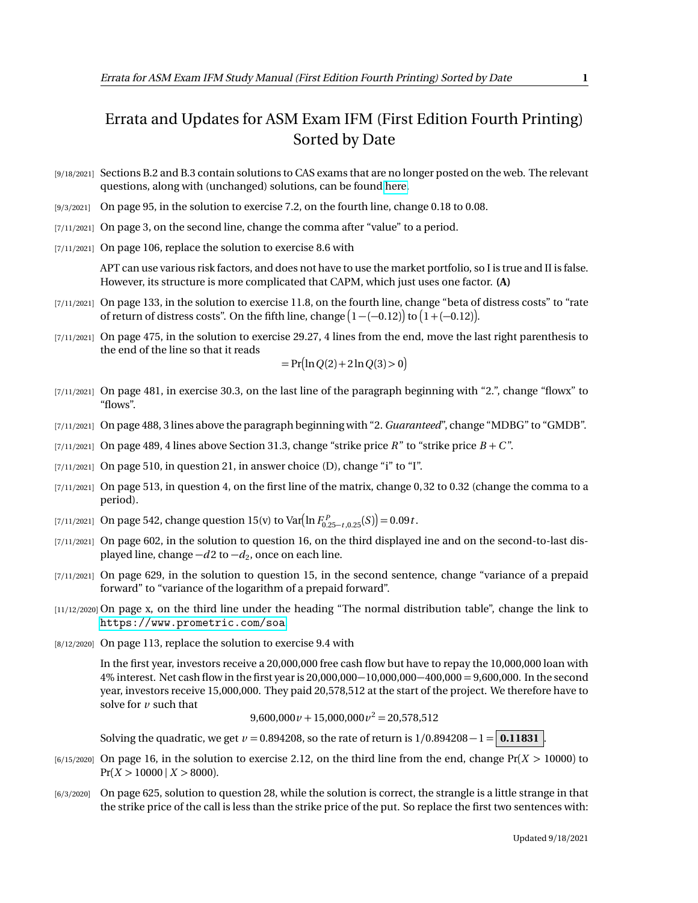## Errata and Updates for ASM Exam IFM (First Edition Fourth Printing) Sorted by Date

- [9/18/2021] Sections B.2 and B.3 contain solutions to CAS exams that are no longer posted on the web. The relevant questions, along with (unchanged) solutions, can be found [here.](http://aceyourexams.net/errata/CASExam3forIFM.pdf)
- [9/3/2021] On page 95, in the solution to exercise 7.2, on the fourth line, change 0.18 to 0.08.
- $[7/11/2021]$  On page 3, on the second line, change the comma after "value" to a period.
- [7/11/2021] On page 106, replace the solution to exercise 8.6 with

APT can use various risk factors, and does not have to use the market portfolio, so I is true and II is false. However, its structure is more complicated that CAPM, which just uses one factor. **(A)**

- [7/11/2021] On page 133, in the solution to exercise 11.8, on the fourth line, change "beta of distress costs" to "rate of return of distress costs". On the fifth line, change  $\big(1-(-0.12)\big)$  to  $\big(1+(-0.12)\big)$ .
- [7/11/2021] On page 475, in the solution to exercise 29.27, 4 lines from the end, move the last right parenthesis to the end of the line so that it reads

$$
= Pr(ln Q(2) + 2 ln Q(3) > 0)
$$

- [7/11/2021] On page 481, in exercise 30.3, on the last line of the paragraph beginning with "2.", change "flowx" to "flows".
- [7/11/2021] On page 488, 3 lines above the paragraph beginning with "2. *Guaranteed*", change "MDBG" to "GMDB".
- [7/11/2021] On page 489, 4 lines above Section 31.3, change "strike price  $R$ " to "strike price  $B + C$ ".
- $[7/11/2021]$  On page 510, in question 21, in answer choice (D), change "i" to "I".
- [7/11/2021] On page 513, in question 4, on the first line of the matrix, change 0, 32 to 0.32 (change the comma to a period).
- [7/11/2021] On page 542, change question 15(v) to Var $\left(\ln F_{0.25-t,0.25}^P(S)\right) = 0.09t$ .
- $[7/11/2021]$  On page 602, in the solution to question 16, on the third displayed ine and on the second-to-last displayed line, change  $-d2$  to  $-d_2$ , once on each line.
- [7/11/2021] On page 629, in the solution to question 15, in the second sentence, change "variance of a prepaid forward" to "variance of the logarithm of a prepaid forward".
- [11/12/2020] On page x, on the third line under the heading "The normal distribution table", change the link to <https://www.prometric.com/soa>.
- [8/12/2020] On page 113, replace the solution to exercise 9.4 with

In the first year, investors receive a 20,000,000 free cash flow but have to repay the 10,000,000 loan with 4% interest. Net cash flow in the first year is 20,000,000−10,000,000−400,000 = 9,600,000. In the second year, investors receive 15,000,000. They paid 20,578,512 at the start of the project. We therefore have to solve for *v* such that

 $9,600,000 \nu + 15,000,000 \nu^2 = 20,578,512$ 

Solving the quadratic, we get  $\nu = 0.894208$ , so the rate of return is  $1/0.894208 - 1 = 0.11831$ .

- $[6/15/2020]$  On page 16, in the solution to exercise 2.12, on the third line from the end, change  $Pr(X > 10000)$  to  $Pr(X > 10000 \mid X > 8000)$ .
- [6/3/2020] On page 625, solution to question 28, while the solution is correct, the strangle is a little strange in that the strike price of the call is less than the strike price of the put. So replace the first two sentences with: